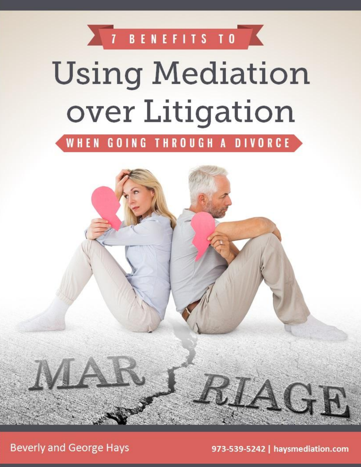7 BENEFITS TO

# **Using Mediation** over Litigation

WHEN GOING THROUGH A DIVORCE



**Beverly and George Hays** 

973-539-5242 | haysmediation.com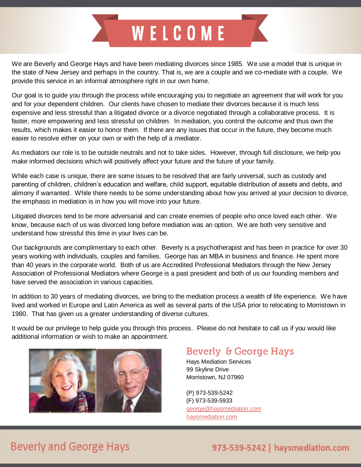

We are Beverly and George Hays and have been mediating divorces since 1985. We use a model that is unique in the state of New Jersey and perhaps in the country. That is, we are a couple and we co-mediate with a couple. We provide this service in an informal atmosphere right in our own home.

Our goal is to guide you through the process while encouraging you to negotiate an agreement that will work for you and for your dependent children. Our clients have chosen to mediate their divorces because it is much less expensive and less stressful than a litigated divorce or a divorce negotiated through a collaborative process. It is faster, more empowering and less stressful on children. In mediation, you control the outcome and thus own the results, which makes it easier to honor them. If there are any issues that occur in the future, they become much easier to resolve either on your own or with the help of a mediator.

As mediators our role is to be outside neutrals and not to take sides. However, through full disclosure, we help you make informed decisions which will positively affect your future and the future of your family.

While each case is unique, there are some issues to be resolved that are fairly universal, such as custody and parenting of children, children's education and welfare, child support, equitable distribution of assets and debts, and alimony if warranted. While there needs to be some understanding about how you arrived at your decision to divorce, the emphasis in mediation is in how you will move into your future.

Litigated divorces tend to be more adversarial and can create enemies of people who once loved each other. We know, because each of us was divorced long before mediation was an option. We are both very sensitive and understand how stressful this time in your lives can be.

Our backgrounds are complimentary to each other. Beverly is a psychotherapist and has been in practice for over 30 years working with individuals, couples and families. George has an MBA in business and finance. He spent more than 40 years in the corporate world. Both of us are Accredited Professional Mediators through the New Jersey Association of Professional Mediators where George is a past president and both of us our founding members and have served the association in various capacities.

In addition to 30 years of mediating divorces, we bring to the mediation process a wealth of life experience. We have lived and worked in Europe and Latin America as well as several parts of the USA prior to relocating to Morristown in 1980. That has given us a greater understanding of diverse cultures.

It would be our privilege to help guide you through this process. Please do not hesitate to call us if you would like additional information or wish to make an appointment.



#### Beverly & George Hays

Hays Mediation Services 99 Skyline Drive Morristown, NJ 07960

(P) 973-539-5242 (F) 973-539-5933 [george@haysmediation.com](mailto:george@haysmediation.com) [haysmediation.com](http://haysmediation.com/)

## **Beverly and George Hays**

#### 973-539-5242 | haysmediation.com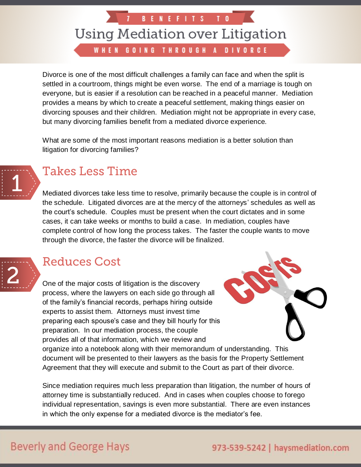**BENEFITS** 

WHEN GOING THROUGH A DIVORCE

Divorce is one of the most difficult challenges a family can face and when the split is settled in a courtroom, things might be even worse. The end of a marriage is tough on everyone, but is easier if a resolution can be reached in a peaceful manner. Mediation provides a means by which to create a peaceful settlement, making things easier on divorcing spouses and their children. Mediation might not be appropriate in every case, but many divorcing families benefit from a mediated divorce experience.

What are some of the most important reasons mediation is a better solution than litigation for divorcing families?



#### **Takes Less Time**

Mediated divorces take less time to resolve, primarily because the couple is in control of the schedule. Litigated divorces are at the mercy of the attorneys' schedules as well as the court's schedule. Couples must be present when the court dictates and in some cases, it can take weeks or months to build a case. In mediation, couples have complete control of how long the process takes. The faster the couple wants to move through the divorce, the faster the divorce will be finalized.



#### **Reduces Cost**

One of the major costs of litigation is the discovery process, where the lawyers on each side go through all of the family's financial records, perhaps hiring outside experts to assist them. Attorneys must invest time preparing each spouse's case and they bill hourly for this preparation. In our mediation process, the couple provides all of that information, which we review and organize into a notebook along with their memorandum of understanding. This document will be presented to their lawyers as the basis for the Property Settlement Agreement that they will execute and submit to the Court as part of their divorce.

Since mediation requires much less preparation than litigation, the number of hours of attorney time is substantially reduced. And in cases when couples choose to forego individual representation, savings is even more substantial. There are even instances in which the only expense for a mediated divorce is the mediator's fee.

#### **Beverly and George Hays**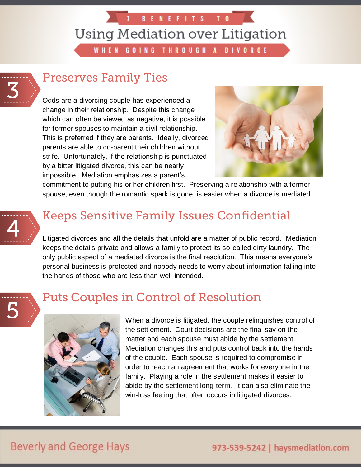**BENEFITS** 

WHEN GOING THROUGH A DIVORCE



## **Preserves Family Ties**

Odds are a divorcing couple has experienced a change in their relationship. Despite this change which can often be viewed as negative, it is possible for former spouses to maintain a civil relationship. This is preferred if they are parents. Ideally, divorced parents are able to co-parent their children without strife. Unfortunately, if the relationship is punctuated by a bitter litigated divorce, this can be nearly impossible. Mediation emphasizes a parent's



commitment to putting his or her children first. Preserving a relationship with a former spouse, even though the romantic spark is gone, is easier when a divorce is mediated.



## **Keeps Sensitive Family Issues Confidential**

Litigated divorces and all the details that unfold are a matter of public record. Mediation keeps the details private and allows a family to protect its so-called dirty laundry. The only public aspect of a mediated divorce is the final resolution. This means everyone's personal business is protected and nobody needs to worry about information falling into the hands of those who are less than well-intended.



#### **Puts Couples in Control of Resolution**



When a divorce is litigated, the couple relinquishes control of the settlement. Court decisions are the final say on the matter and each spouse must abide by the settlement. Mediation changes this and puts control back into the hands of the couple. Each spouse is required to compromise in order to reach an agreement that works for everyone in the family. Playing a role in the settlement makes it easier to abide by the settlement long-term. It can also eliminate the win-loss feeling that often occurs in litigated divorces.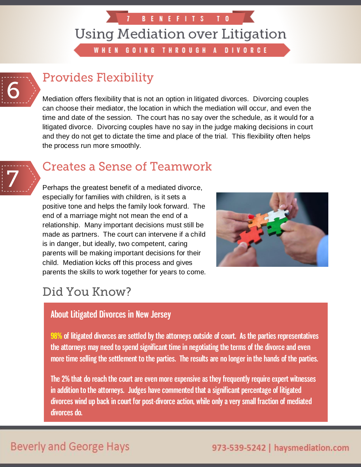**BENEFITS** 

T.

WHEN GOING THROUGH A **DIVORCE** 



## **Provides Flexibility**

Mediation offers flexibility that is not an option in litigated divorces. Divorcing couples can choose their mediator, the location in which the mediation will occur, and even the time and date of the session. The court has no say over the schedule, as it would for a litigated divorce. Divorcing couples have no say in the judge making decisions in court and they do not get to dictate the time and place of the trial. This flexibility often helps the process run more smoothly.



#### **Creates a Sense of Teamwork**

Perhaps the greatest benefit of a mediated divorce, especially for families with children, is it sets a positive tone and helps the family look forward. The end of a marriage might not mean the end of a relationship. Many important decisions must still be made as partners. The court can intervene if a child is in danger, but ideally, two competent, caring parents will be making important decisions for their child. Mediation kicks off this process and gives parents the skills to work together for years to come.



#### Did You Know?

#### About Litigated Divorces in New Jersey

98% of litigated divorces are settled by the attorneys outside of court. As the parties representatives the attorneys may need to spend significant time in negotiating the terms of the divorce and even more time selling the settlement to the parties. The results are no longer in the hands of the parties.

The 2% that do reach the court are even more expensive as they frequently require expert witnesses in addition to the attorneys. Judges have commented that a significant percentage of litigated divorces wind up back in court for post-divorce action, while only a very small fraction of mediated divorces do.

#### **Beverly and George Hays**

#### 973-539-5242 | haysmediation.com